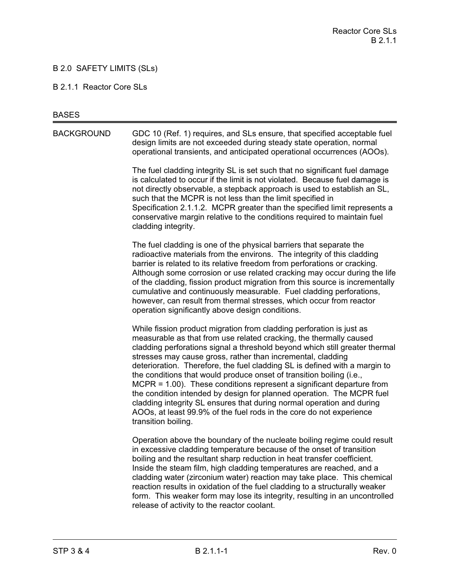## B 2.0 SAFETY LIMITS (SLs)

#### B 2.1.1 Reactor Core SLs

#### **BASES**

BACKGROUND GDC 10 (Ref. 1) requires, and SLs ensure, that specified acceptable fuel design limits are not exceeded during steady state operation, normal operational transients, and anticipated operational occurrences (AOOs).

> The fuel cladding integrity SL is set such that no significant fuel damage is calculated to occur if the limit is not violated. Because fuel damage is not directly observable, a stepback approach is used to establish an SL, such that the MCPR is not less than the limit specified in Specification 2.1.1.2. MCPR greater than the specified limit represents a conservative margin relative to the conditions required to maintain fuel cladding integrity.

The fuel cladding is one of the physical barriers that separate the radioactive materials from the environs. The integrity of this cladding barrier is related to its relative freedom from perforations or cracking. Although some corrosion or use related cracking may occur during the life of the cladding, fission product migration from this source is incrementally cumulative and continuously measurable. Fuel cladding perforations, however, can result from thermal stresses, which occur from reactor operation significantly above design conditions.

While fission product migration from cladding perforation is just as measurable as that from use related cracking, the thermally caused cladding perforations signal a threshold beyond which still greater thermal stresses may cause gross, rather than incremental, cladding deterioration. Therefore, the fuel cladding SL is defined with a margin to the conditions that would produce onset of transition boiling (i.e., MCPR = 1.00). These conditions represent a significant departure from the condition intended by design for planned operation. The MCPR fuel cladding integrity SL ensures that during normal operation and during AOOs, at least 99.9% of the fuel rods in the core do not experience transition boiling.

Operation above the boundary of the nucleate boiling regime could result in excessive cladding temperature because of the onset of transition boiling and the resultant sharp reduction in heat transfer coefficient. Inside the steam film, high cladding temperatures are reached, and a cladding water (zirconium water) reaction may take place. This chemical reaction results in oxidation of the fuel cladding to a structurally weaker form. This weaker form may lose its integrity, resulting in an uncontrolled release of activity to the reactor coolant.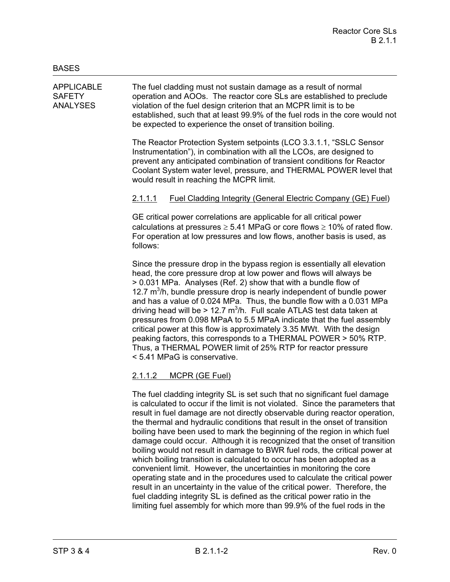APPLICABLE The fuel cladding must not sustain damage as a result of normal SAFETY operation and AOOs. The reactor core SLs are established to preclude ANALYSES violation of the fuel design criterion that an MCPR limit is to be established, such that at least 99.9% of the fuel rods in the core would not be expected to experience the onset of transition boiling.

> The Reactor Protection System setpoints (LCO 3.3.1.1, "SSLC Sensor Instrumentation"), in combination with all the LCOs, are designed to prevent any anticipated combination of transient conditions for Reactor Coolant System water level, pressure, and THERMAL POWER level that would result in reaching the MCPR limit.

## 2.1.1.1 Fuel Cladding Integrity (General Electric Company (GE) Fuel)

GE critical power correlations are applicable for all critical power calculations at pressures  $\geq 5.41$  MPaG or core flows  $\geq 10\%$  of rated flow. For operation at low pressures and low flows, another basis is used, as follows:

Since the pressure drop in the bypass region is essentially all elevation head, the core pressure drop at low power and flows will always be > 0.031 MPa. Analyses (Ref. 2) show that with a bundle flow of 12.7  $m<sup>3</sup>/h$ , bundle pressure drop is nearly independent of bundle power and has a value of 0.024 MPa. Thus, the bundle flow with a 0.031 MPa driving head will be > 12.7  $\text{m}^3$ /h. Full scale ATLAS test data taken at pressures from 0.098 MPaA to 5.5 MPaA indicate that the fuel assembly critical power at this flow is approximately 3.35 MWt. With the design peaking factors, this corresponds to a THERMAL POWER > 50% RTP. Thus, a THERMAL POWER limit of 25% RTP for reactor pressure < 5.41 MPaG is conservative.

# 2.1.1.2 MCPR (GE Fuel)

The fuel cladding integrity SL is set such that no significant fuel damage is calculated to occur if the limit is not violated. Since the parameters that result in fuel damage are not directly observable during reactor operation, the thermal and hydraulic conditions that result in the onset of transition boiling have been used to mark the beginning of the region in which fuel damage could occur. Although it is recognized that the onset of transition boiling would not result in damage to BWR fuel rods, the critical power at which boiling transition is calculated to occur has been adopted as a convenient limit. However, the uncertainties in monitoring the core operating state and in the procedures used to calculate the critical power result in an uncertainty in the value of the critical power. Therefore, the fuel cladding integrity SL is defined as the critical power ratio in the limiting fuel assembly for which more than 99.9% of the fuel rods in the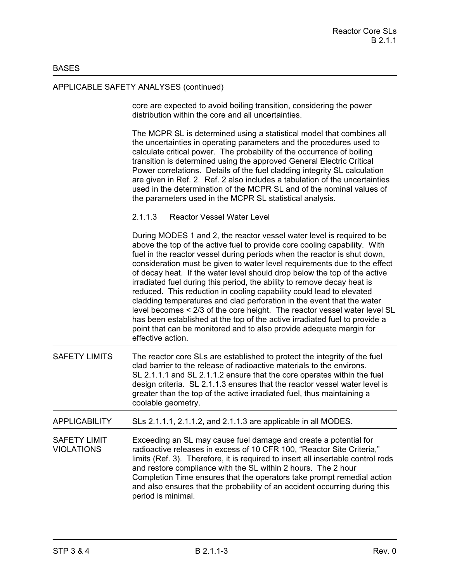#### **BASES**

### APPLICABLE SAFETY ANALYSES (continued)

core are expected to avoid boiling transition, considering the power distribution within the core and all uncertainties.

The MCPR SL is determined using a statistical model that combines all the uncertainties in operating parameters and the procedures used to calculate critical power. The probability of the occurrence of boiling transition is determined using the approved General Electric Critical Power correlations. Details of the fuel cladding integrity SL calculation are given in Ref. 2. Ref. 2 also includes a tabulation of the uncertainties used in the determination of the MCPR SL and of the nominal values of the parameters used in the MCPR SL statistical analysis.

#### 2.1.1.3 Reactor Vessel Water Level

During MODES 1 and 2, the reactor vessel water level is required to be above the top of the active fuel to provide core cooling capability. With fuel in the reactor vessel during periods when the reactor is shut down, consideration must be given to water level requirements due to the effect of decay heat. If the water level should drop below the top of the active irradiated fuel during this period, the ability to remove decay heat is reduced. This reduction in cooling capability could lead to elevated cladding temperatures and clad perforation in the event that the water level becomes < 2/3 of the core height. The reactor vessel water level SL has been established at the top of the active irradiated fuel to provide a point that can be monitored and to also provide adequate margin for effective action.

SAFETY LIMITS The reactor core SLs are established to protect the integrity of the fuel clad barrier to the release of radioactive materials to the environs. SL 2.1.1.1 and SL 2.1.1.2 ensure that the core operates within the fuel design criteria. SL 2.1.1.3 ensures that the reactor vessel water level is greater than the top of the active irradiated fuel, thus maintaining a coolable geometry.

APPLICABILITY SLs 2.1.1.1, 2.1.1.2, and 2.1.1.3 are applicable in all MODES.

SAFETY LIMIT Exceeding an SL may cause fuel damage and create a potential for VIOLATIONS radioactive releases in excess of 10 CFR 100, "Reactor Site Criteria," limits (Ref. 3). Therefore, it is required to insert all insertable control rods and restore compliance with the SL within 2 hours. The 2 hour Completion Time ensures that the operators take prompt remedial action and also ensures that the probability of an accident occurring during this period is minimal.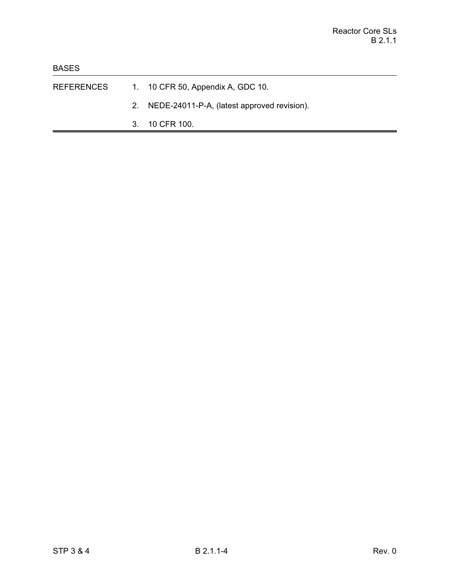- REFERENCES 1. 10 CFR 50, Appendix A, GDC 10.
	- 2. NEDE-24011-P-A, (latest approved revision).
	- 3. 10 CFR 100.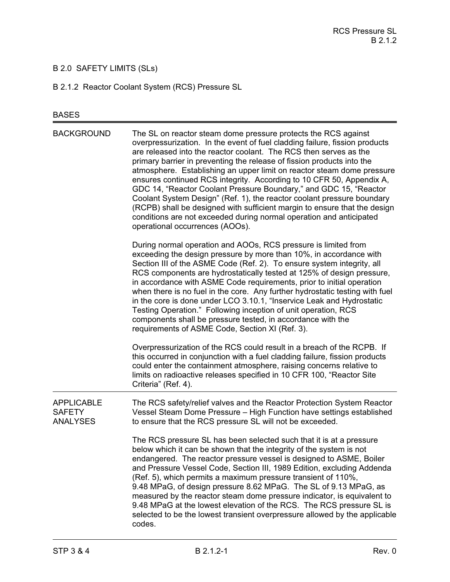# B 2.0 SAFETY LIMITS (SLs)

B 2.1.2 Reactor Coolant System (RCS) Pressure SL

# BASES

| <b>BACKGROUND</b>                                     | The SL on reactor steam dome pressure protects the RCS against<br>overpressurization. In the event of fuel cladding failure, fission products<br>are released into the reactor coolant. The RCS then serves as the<br>primary barrier in preventing the release of fission products into the<br>atmosphere. Establishing an upper limit on reactor steam dome pressure<br>ensures continued RCS integrity. According to 10 CFR 50, Appendix A,<br>GDC 14, "Reactor Coolant Pressure Boundary," and GDC 15, "Reactor<br>Coolant System Design" (Ref. 1), the reactor coolant pressure boundary<br>(RCPB) shall be designed with sufficient margin to ensure that the design<br>conditions are not exceeded during normal operation and anticipated<br>operational occurrences (AOOs). |
|-------------------------------------------------------|--------------------------------------------------------------------------------------------------------------------------------------------------------------------------------------------------------------------------------------------------------------------------------------------------------------------------------------------------------------------------------------------------------------------------------------------------------------------------------------------------------------------------------------------------------------------------------------------------------------------------------------------------------------------------------------------------------------------------------------------------------------------------------------|
|                                                       | During normal operation and AOOs, RCS pressure is limited from<br>exceeding the design pressure by more than 10%, in accordance with<br>Section III of the ASME Code (Ref. 2). To ensure system integrity, all<br>RCS components are hydrostatically tested at 125% of design pressure,<br>in accordance with ASME Code requirements, prior to initial operation<br>when there is no fuel in the core. Any further hydrostatic testing with fuel<br>in the core is done under LCO 3.10.1, "Inservice Leak and Hydrostatic<br>Testing Operation." Following inception of unit operation, RCS<br>components shall be pressure tested, in accordance with the<br>requirements of ASME Code, Section XI (Ref. 3).                                                                        |
|                                                       | Overpressurization of the RCS could result in a breach of the RCPB. If<br>this occurred in conjunction with a fuel cladding failure, fission products<br>could enter the containment atmosphere, raising concerns relative to<br>limits on radioactive releases specified in 10 CFR 100, "Reactor Site<br>Criteria" (Ref. 4).                                                                                                                                                                                                                                                                                                                                                                                                                                                        |
| <b>APPLICABLE</b><br><b>SAFETY</b><br><b>ANALYSES</b> | The RCS safety/relief valves and the Reactor Protection System Reactor<br>Vessel Steam Dome Pressure - High Function have settings established<br>to ensure that the RCS pressure SL will not be exceeded.                                                                                                                                                                                                                                                                                                                                                                                                                                                                                                                                                                           |
|                                                       | The RCS pressure SL has been selected such that it is at a pressure<br>below which it can be shown that the integrity of the system is not<br>endangered. The reactor pressure vessel is designed to ASME, Boiler<br>and Pressure Vessel Code, Section III, 1989 Edition, excluding Addenda<br>(Ref. 5), which permits a maximum pressure transient of 110%,<br>9.48 MPaG, of design pressure 8.62 MPaG. The SL of 9.13 MPaG, as<br>measured by the reactor steam dome pressure indicator, is equivalent to<br>9.48 MPaG at the lowest elevation of the RCS. The RCS pressure SL is<br>selected to be the lowest transient overpressure allowed by the applicable<br>codes.                                                                                                          |